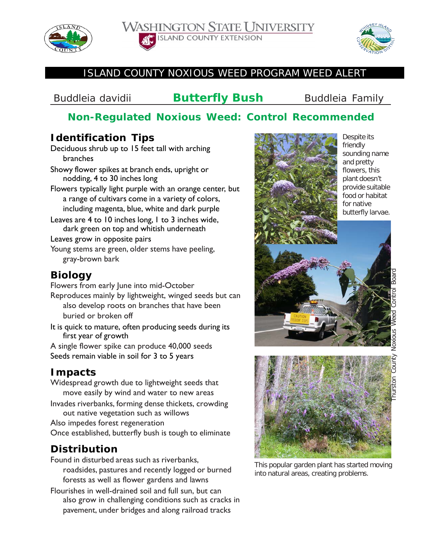





### ISLAND COUNTY NOXIOUS WEED PROGRAM WEED ALERT

*Buddleia davidii* **Butterfly Bush** Buddleia Family

# **Non-Regulated Noxious Weed: Control Recommended**

### **Identification Tips**

Deciduous shrub up to 15 feet tall with arching branches

- Showy flower spikes at branch ends, upright or nodding, 4 to 30 inches long
- Flowers typically light purple with an orange center, but a range of cultivars come in a variety of colors, including magenta, blue, white and dark purple

Leaves are 4 to 10 inches long, 1 to 3 inches wide, dark green on top and whitish underneath

Leaves grow in opposite pairs

Young stems are green, older stems have peeling, gray-brown bark

## **Biology**

Flowers from early June into mid-October

Reproduces mainly by lightweight, winged seeds but can also develop roots on branches that have been buried or broken off

It is quick to mature, often producing seeds during its first year of growth

A single flower spike can produce 40,000 seeds Seeds remain viable in soil for 3 to 5 years

# **Impacts**

Widespread growth due to lightweight seeds that move easily by wind and water to new areas

Invades riverbanks, forming dense thickets, crowding out native vegetation such as willows

Also impedes forest regeneration Once established, butterfly bush is tough to eliminate

# **Distribution**

- Found in disturbed areas such as riverbanks, roadsides, pastures and recently logged or burned forests as well as flower gardens and lawns
- Flourishes in well-drained soil and full sun, but can also grow in challenging conditions such as cracks in pavement, under bridges and along railroad tracks



Despite its friendly sounding name and pretty flowers, this plant doesn't provide suitable food or habitat for native butterfly larvae.





This popular garden plant has started moving into natural areas, creating problems.